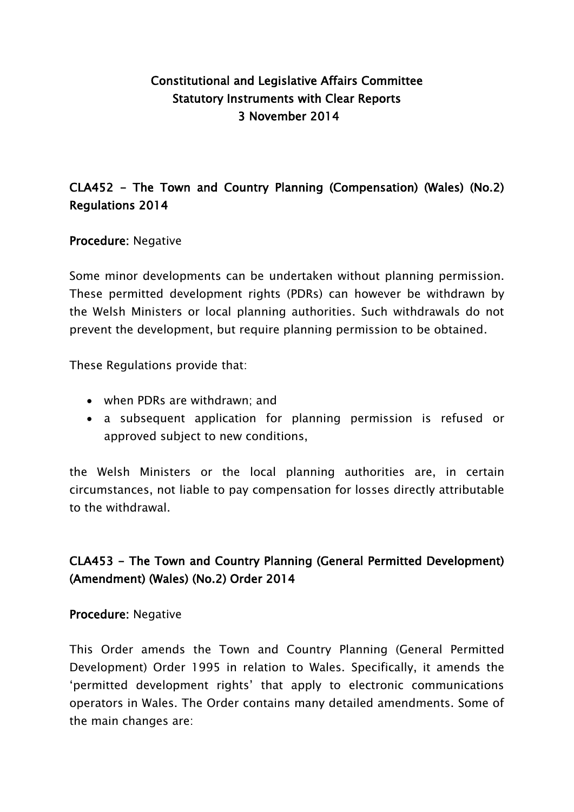## Constitutional and Legislative Affairs Committee Statutory Instruments with Clear Reports 3 November 2014

## CLA452 - The Town and Country Planning (Compensation) (Wales) (No.2) Regulations 2014

### Procedure: Negative

Some minor developments can be undertaken without planning permission. These permitted development rights (PDRs) can however be withdrawn by the Welsh Ministers or local planning authorities. Such withdrawals do not prevent the development, but require planning permission to be obtained.

These Regulations provide that:

- when PDRs are withdrawn; and
- a subsequent application for planning permission is refused or approved subject to new conditions,

the Welsh Ministers or the local planning authorities are, in certain circumstances, not liable to pay compensation for losses directly attributable to the withdrawal.

## CLA453 - The Town and Country Planning (General Permitted Development) (Amendment) (Wales) (No.2) Order 2014

#### Procedure: Negative

This Order amends the Town and Country Planning (General Permitted Development) Order 1995 in relation to Wales. Specifically, it amends the 'permitted development rights' that apply to electronic communications operators in Wales. The Order contains many detailed amendments. Some of the main changes are: